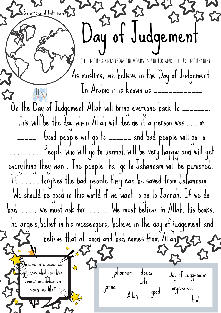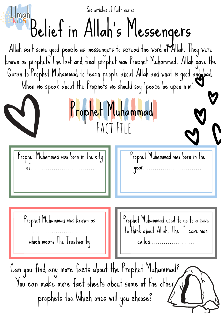Allah sent some good people as messengers to spread the word of Allah. They were known as prophets.The last and final prophet was Prophet Muhammad. Allah gave the Quran to Prophet Muhammad to teach people about Allah and what is good and bad. When we speak about the Prophets we should say 'peace be upon him'. Prophet Muhammad was born in the city of................................. Can you find any more facts about the Prophet Muhammad? You can make more fact sheets about some of the other prophets too.Which ones will you choose? Belief in Allah' s Messengers Prophet Muhammad Prophet Muhammad was born in the year.............................. Prophet Muhammad was known as ............................ which means The Trustworthy Prophet Muhammad used to go to a cave to think about Allah. The ....cave was called....................... Six articles of faith series Fact File